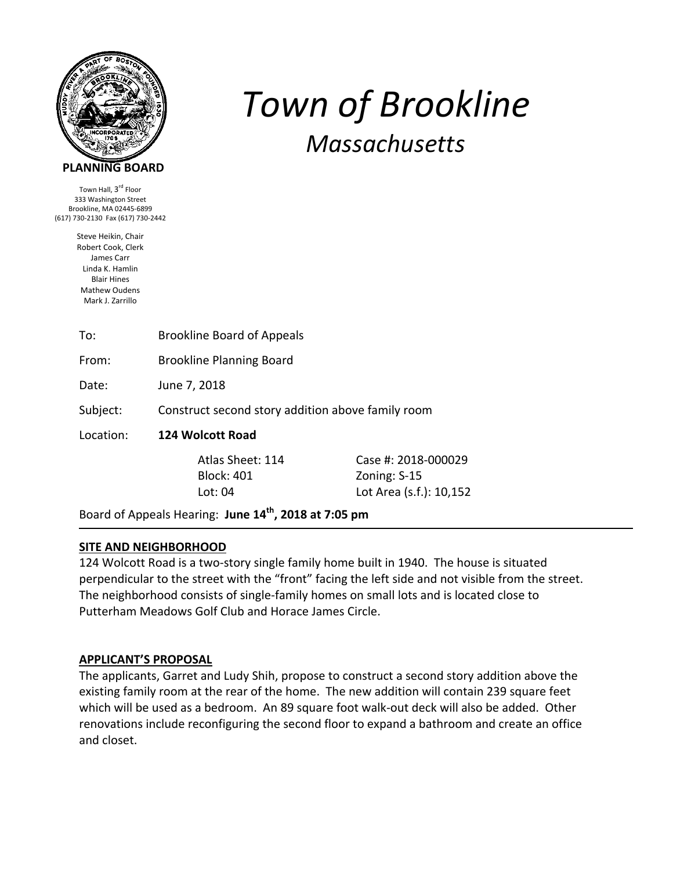

## **PLANNING BOARD**

Town Hall, 3<sup>rd</sup> Floor 333 Washington Street Brookline, MA 02445‐6899 (617) 730‐2130 Fax (617) 730‐2442

> Steve Heikin, Chair Robert Cook, Clerk James Carr Linda K. Hamlin Blair Hines Mathew Oudens Mark J. Zarrillo

# To: Brookline Board of Appeals From: Brookline Planning Board Date: June 7, 2018 Subject: Construct second story addition above family room Location: **124 Wolcott Road**  Atlas Sheet: 114 Case #: 2018‐000029 Block: 401 Zoning: S‐15 Lot: 04 Lot Area (s.f.): 10,152

*Town of Brookline*

*Massachusetts*

Board of Appeals Hearing: **June 14th, 2018 at 7:05 pm**

# **SITE AND NEIGHBORHOOD**

124 Wolcott Road is a two-story single family home built in 1940. The house is situated perpendicular to the street with the "front" facing the left side and not visible from the street. The neighborhood consists of single‐family homes on small lots and is located close to Putterham Meadows Golf Club and Horace James Circle.

#### **APPLICANT'S PROPOSAL**

The applicants, Garret and Ludy Shih, propose to construct a second story addition above the existing family room at the rear of the home. The new addition will contain 239 square feet which will be used as a bedroom. An 89 square foot walk-out deck will also be added. Other renovations include reconfiguring the second floor to expand a bathroom and create an office and closet.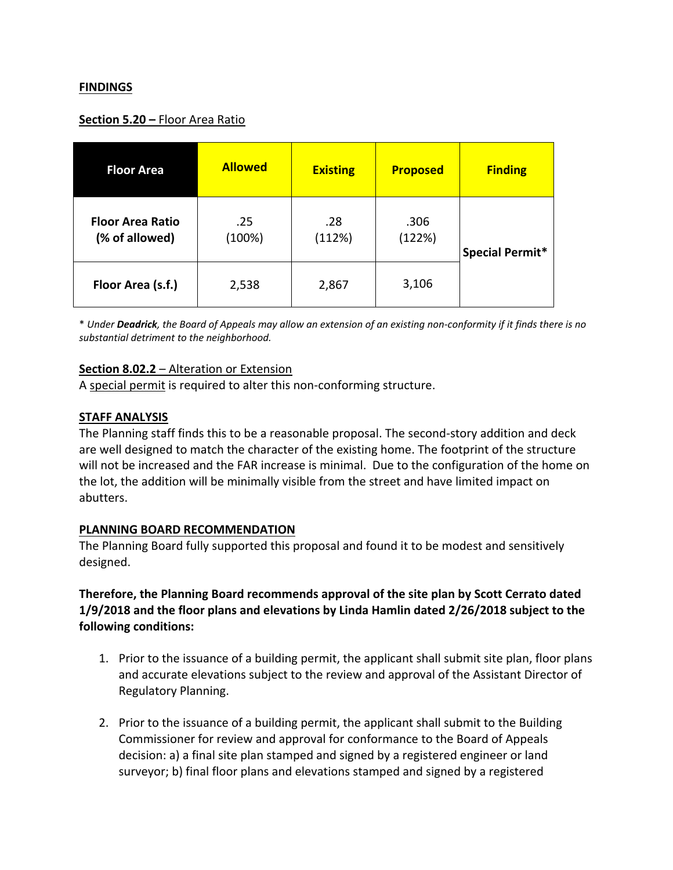### **FINDINGS**

#### **Section 5.20 –** Floor Area Ratio

| <b>Floor Area</b>                         | <b>Allowed</b> | <b>Existing</b> | <b>Proposed</b> | <b>Finding</b>  |  |
|-------------------------------------------|----------------|-----------------|-----------------|-----------------|--|
| <b>Floor Area Ratio</b><br>(% of allowed) | .25<br>(100%)  | .28<br>(112%)   | .306<br>(122%)  | Special Permit* |  |
| Floor Area (s.f.)                         | 2,538          | 2,867           | 3,106           |                 |  |

\* Under **Deadrick**, the Board of Appeals may allow an extension of an existing non-conformity if it finds there is no *substantial detriment to the neighborhood.*

#### **Section 8.02.2** – Alteration or Extension

A special permit is required to alter this non-conforming structure.

#### **STAFF ANALYSIS**

The Planning staff finds this to be a reasonable proposal. The second‐story addition and deck are well designed to match the character of the existing home. The footprint of the structure will not be increased and the FAR increase is minimal. Due to the configuration of the home on the lot, the addition will be minimally visible from the street and have limited impact on abutters.

#### **PLANNING BOARD RECOMMENDATION**

The Planning Board fully supported this proposal and found it to be modest and sensitively designed.

# **Therefore, the Planning Board recommends approval of the site plan by Scott Cerrato dated 1/9/2018 and the floor plans and elevations by Linda Hamlin dated 2/26/2018 subject to the following conditions:**

- 1. Prior to the issuance of a building permit, the applicant shall submit site plan, floor plans and accurate elevations subject to the review and approval of the Assistant Director of Regulatory Planning.
- 2. Prior to the issuance of a building permit, the applicant shall submit to the Building Commissioner for review and approval for conformance to the Board of Appeals decision: a) a final site plan stamped and signed by a registered engineer or land surveyor; b) final floor plans and elevations stamped and signed by a registered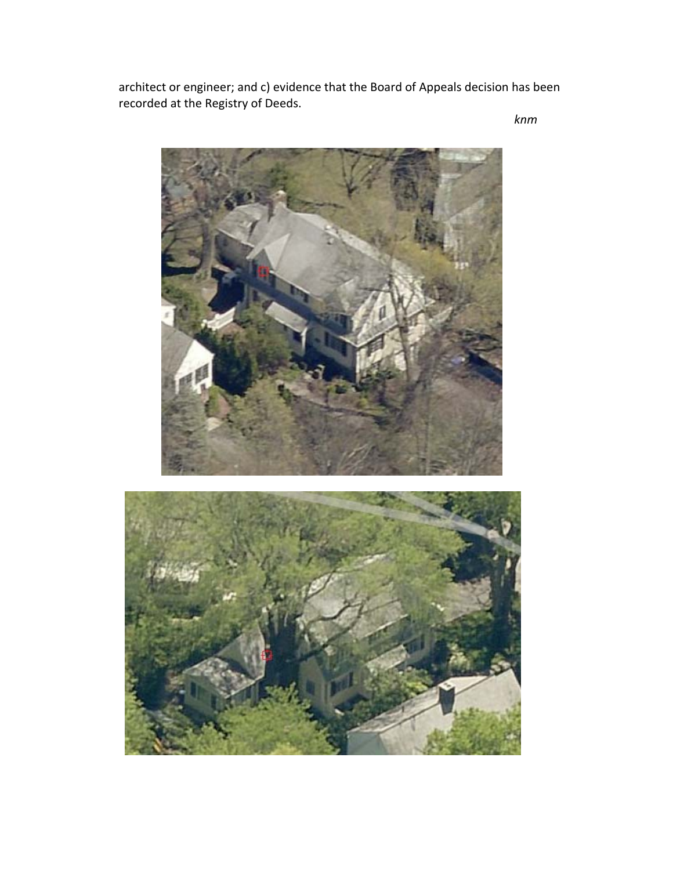architect or engineer; and c) evidence that the Board of Appeals decision has been recorded at the Registry of Deeds.

*knm*

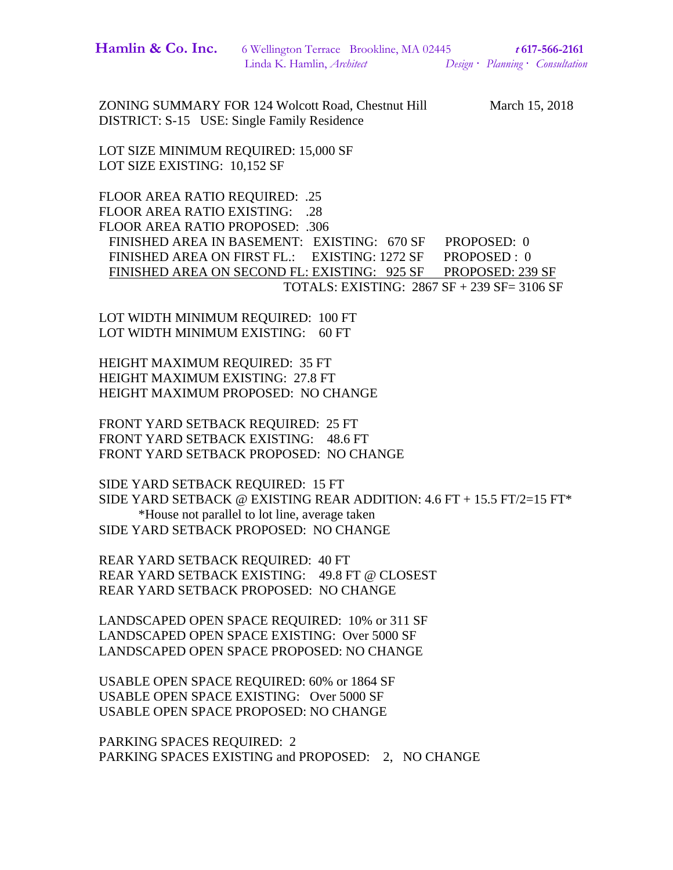| Hamlin & Co. Inc. | 6 Wellington Terrace Brookline, MA 02445 |  | t 617-566-2161 |                                  |
|-------------------|------------------------------------------|--|----------------|----------------------------------|
|                   | Linda K. Hamlin, <i>Architect</i>        |  |                | Design · Planning · Consultation |

ZONING SUMMARY FOR 124 Wolcott Road, Chestnut Hill March 15, 2018 DISTRICT: S-15 USE: Single Family Residence

LOT SIZE MINIMUM REQUIRED: 15,000 SF LOT SIZE EXISTING: 10,152 SF

FLOOR AREA RATIO REQUIRED: .25 FLOOR AREA RATIO EXISTING: .28 FLOOR AREA RATIO PROPOSED: .306 FINISHED AREA IN BASEMENT: EXISTING: 670 SF PROPOSED: 0 FINISHED AREA ON FIRST FL.: EXISTING: 1272 SF PROPOSED : 0 FINISHED AREA ON SECOND FL: EXISTING: 925 SF PROPOSED: 239 SF TOTALS: EXISTING: 2867 SF + 239 SF= 3106 SF

LOT WIDTH MINIMUM REQUIRED: 100 FT LOT WIDTH MINIMUM EXISTING: 60 FT

HEIGHT MAXIMUM REQUIRED: 35 FT HEIGHT MAXIMUM EXISTING: 27.8 FT HEIGHT MAXIMUM PROPOSED: NO CHANGE

FRONT YARD SETBACK REQUIRED: 25 FT FRONT YARD SETBACK EXISTING: 48.6 FT FRONT YARD SETBACK PROPOSED: NO CHANGE

SIDE YARD SETBACK REQUIRED: 15 FT SIDE YARD SETBACK @ EXISTING REAR ADDITION:  $4.6$  FT  $+$  15.5 FT/2=15 FT\* \*House not parallel to lot line, average taken SIDE YARD SETBACK PROPOSED: NO CHANGE

REAR YARD SETBACK REQUIRED: 40 FT REAR YARD SETBACK EXISTING: 49.8 FT @ CLOSEST REAR YARD SETBACK PROPOSED: NO CHANGE

LANDSCAPED OPEN SPACE REQUIRED: 10% or 311 SF LANDSCAPED OPEN SPACE EXISTING: Over 5000 SF LANDSCAPED OPEN SPACE PROPOSED: NO CHANGE

USABLE OPEN SPACE REQUIRED: 60% or 1864 SF USABLE OPEN SPACE EXISTING: Over 5000 SF USABLE OPEN SPACE PROPOSED: NO CHANGE

PARKING SPACES REQUIRED: 2 PARKING SPACES EXISTING and PROPOSED: 2, NO CHANGE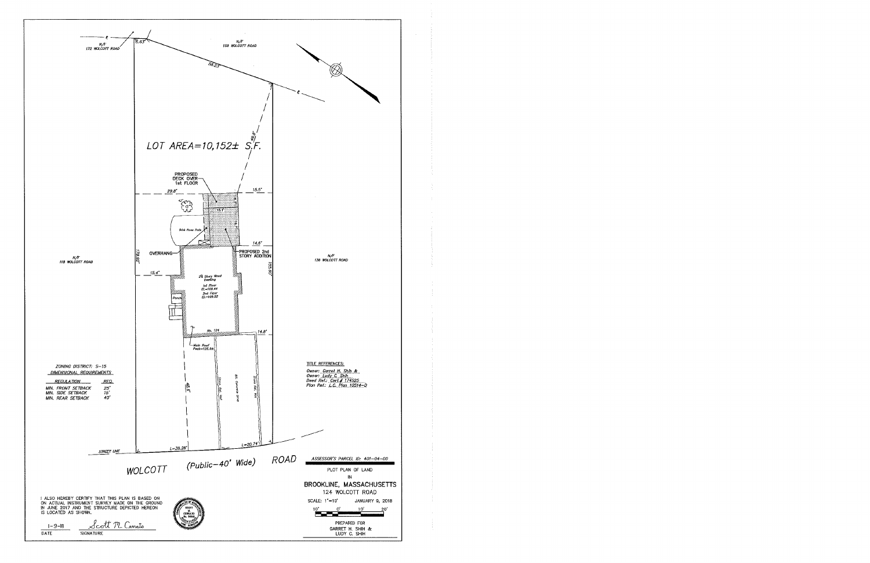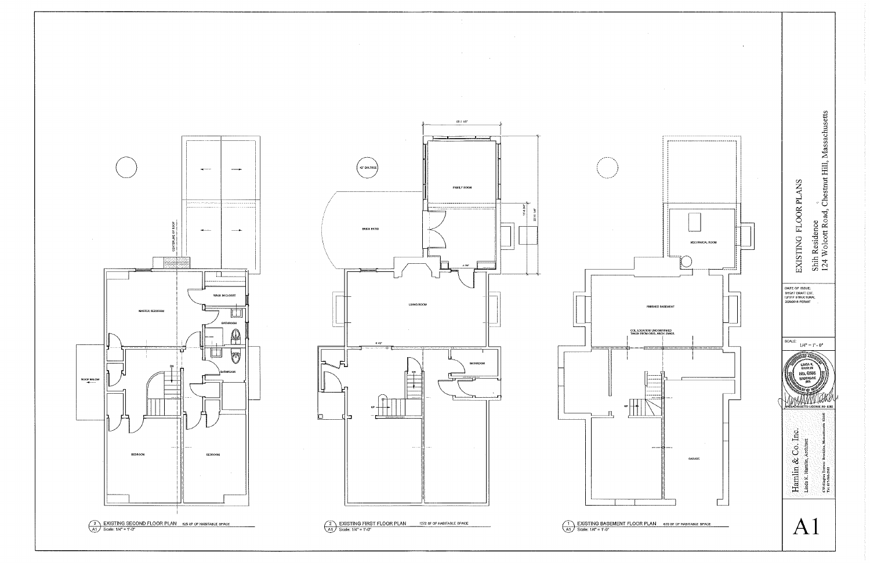

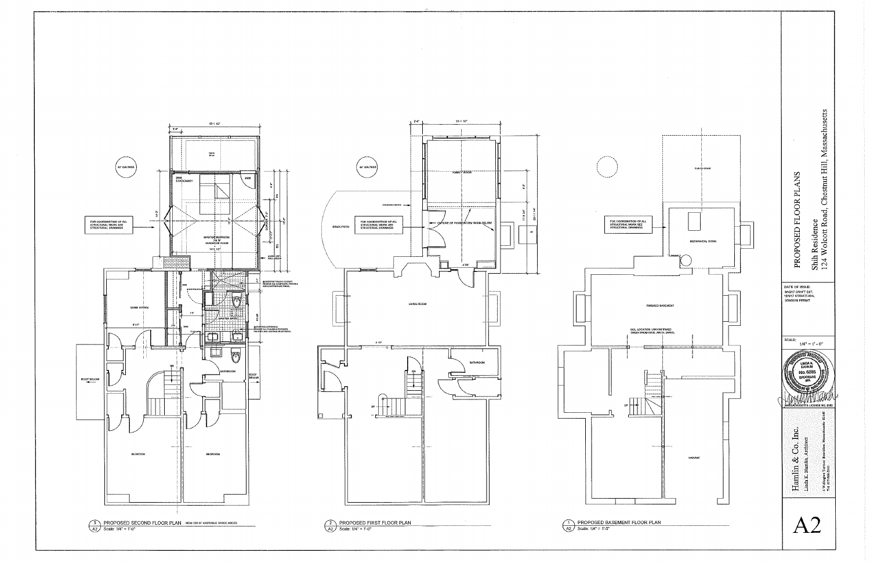



 $\sim 10^7$ 

 $\begin{array}{|c|c|}\n\hline\n2 & \text{PROPOSED FIRST FLOOR PLAN} \\
\hline\n\text{A2} & \text{Scale: } 1/4" = 1-0" \\
\hline\n\end{array}$ 

PROPOSED BASEMENT FLOOR PLAN<br>A2 Scale: 1/4" = 1'-0"

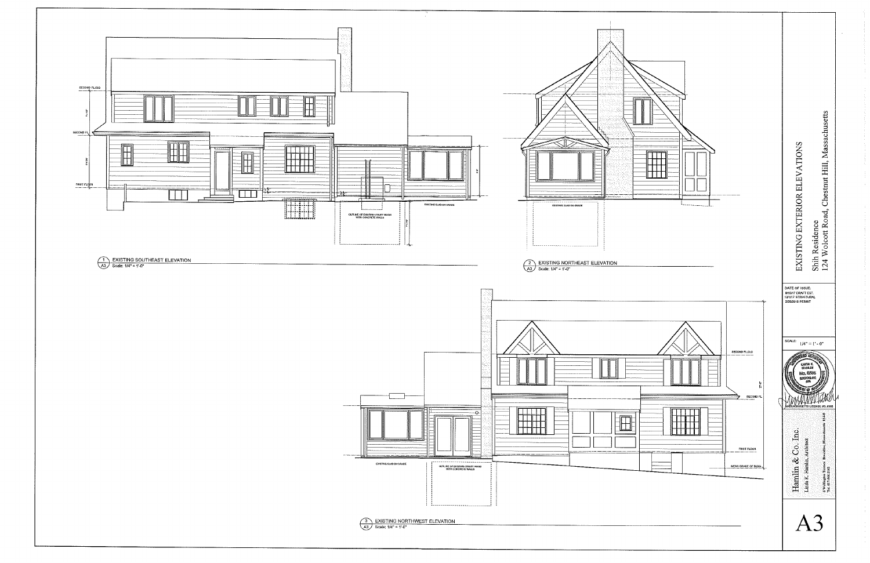